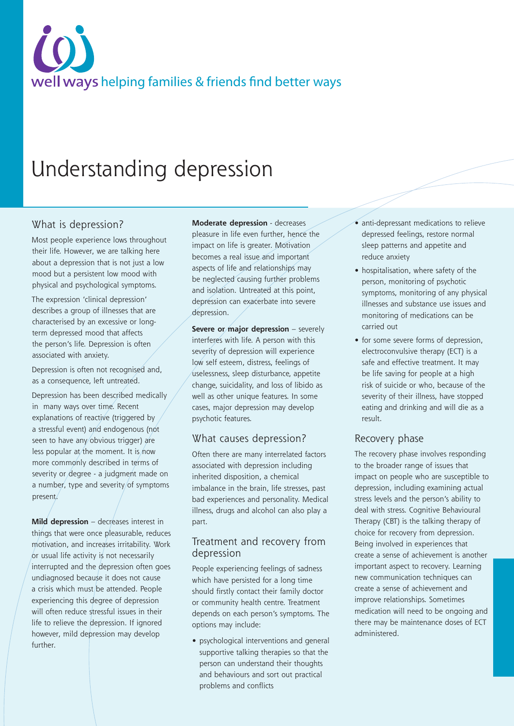# well ways helping families & friends find better ways

# Understanding depression

### What is depression?

Most people experience lows throughout their life. However, we are talking here about a depression that is not just a low mood but a persistent low mood with physical and psychological symptoms.

The expression 'clinical depression' describes a group of illnesses that are characterised by an excessive or longterm depressed mood that affects the person's life. Depression is often associated with anxiety.

Depression is often not recognised and, as a consequence, left untreated.

Depression has been described medically in many ways over time. Recent explanations of reactive (triggered by a stressful event) and endogenous (not seen to have any obvious trigger) are less popular at the moment. It is now more commonly described in terms of severity or degree - a judgment made on a number, type and severity/of symptoms present.

**Mild depression** – decreases interest in things that were once pleasurable, reduces motivation, and increases irritability. Work or usual life activity is not necessarily interrupted and the depression often goes undiagnosed because it does not cause a crisis which must/be attended. People experiencing this degree of depression will often reduce stressful issues in their life to relieve the depression. If ignored however, mild depression may develop further.

**Moderate depression** - decreases pleasure in life even further, hence the impact on life is greater. Motivation becomes a real issue and important aspects of life and relationships may be neglected causing further problems and isolation. Untreated at this point, depression can exacerbate into severe depression.

**Severe or major depression** – severely interferes with life. A person with this severity of depression will experience low self esteem, distress, feelings of uselessness, sleep disturbance, appetite change, suicidality, and loss of libido as well as other unique features. In some cases, major depression may develop psychotic features.

#### What causes depression?

Often there are many interrelated factors associated with depression including inherited disposition, a chemical imbalance in the brain, life stresses, past bad experiences and personality. Medical illness, drugs and alcohol can also play a part.

#### Treatment and recovery from depression

People experiencing feelings of sadness which have persisted for a long time should firstly contact their family doctor or community health centre. Treatment depends on each person's symptoms. The options may include:

• psychological interventions and general supportive talking therapies so that the person can understand their thoughts and behaviours and sort out practical problems and conflicts

- anti-depressant medications to relieve depressed feelings, restore normal sleep patterns and appetite and reduce anxiety
- hospitalisation, where safety of the person, monitoring of psychotic symptoms, monitoring of any physical illnesses and substance use issues and monitoring of medications can be carried out
- for some severe forms of depression, electroconvulsive therapy (ECT) is a safe and effective treatment. It may be life saving for people at a high risk of suicide or who, because of the severity of their illness, have stopped eating and drinking and will die as a result.

## Recovery phase

The recovery phase involves responding to the broader range of issues that impact on people who are susceptible to depression, including examining actual stress levels and the person's ability to deal with stress. Cognitive Behavioural Therapy (CBT) is the talking therapy of choice for recovery from depression. Being involved in experiences that create a sense of achievement is another important aspect to recovery. Learning new communication techniques can create a sense of achievement and improve relationships. Sometimes medication will need to be ongoing and there may be maintenance doses of ECT administered.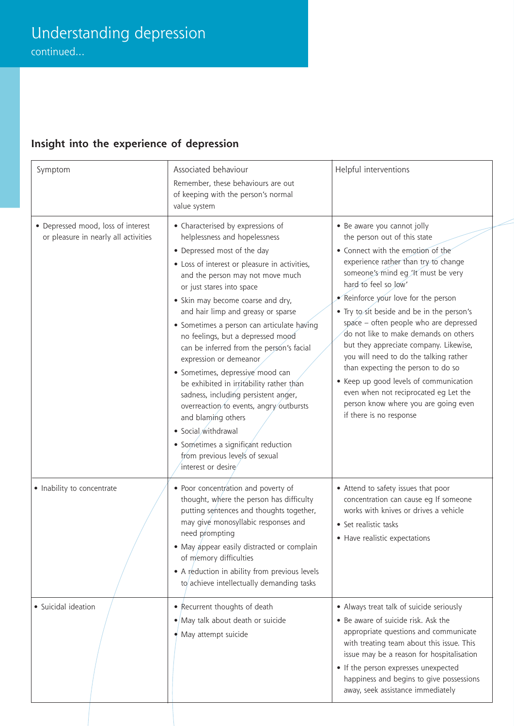# **Insight into the experience of depression**

| Symptom                                                                    | Associated behaviour                                                                                                                                                                                                                                                                                                                                                                                                                                                                                                                                                                                                                                                                                                                                                   | Helpful interventions                                                                                                                                                                                                                                                                                                                                                                                                                                                                                                                                                                                                                                         |
|----------------------------------------------------------------------------|------------------------------------------------------------------------------------------------------------------------------------------------------------------------------------------------------------------------------------------------------------------------------------------------------------------------------------------------------------------------------------------------------------------------------------------------------------------------------------------------------------------------------------------------------------------------------------------------------------------------------------------------------------------------------------------------------------------------------------------------------------------------|---------------------------------------------------------------------------------------------------------------------------------------------------------------------------------------------------------------------------------------------------------------------------------------------------------------------------------------------------------------------------------------------------------------------------------------------------------------------------------------------------------------------------------------------------------------------------------------------------------------------------------------------------------------|
|                                                                            | Remember, these behaviours are out<br>of keeping with the person's normal<br>value system                                                                                                                                                                                                                                                                                                                                                                                                                                                                                                                                                                                                                                                                              |                                                                                                                                                                                                                                                                                                                                                                                                                                                                                                                                                                                                                                                               |
| • Depressed mood, loss of interest<br>or pleasure in nearly all activities | • Characterised by expressions of<br>helplessness and hopelessness<br>• Depressed most of the day<br>• Loss of interest or pleasure in activities,<br>and the person may not move much<br>or just stares into space<br>• Skin may become coarse and dry,<br>and hair limp and greasy or sparse<br>• Sometimes a person can articulate having<br>no feelings, but a depressed mood<br>can be inferred from the person's facial<br>expression or demeanor<br>· Sometimes, depressive mood can<br>be exhibited in irritability rather than<br>sadness, including persistent anger,<br>overreaction to events, angry outbursts<br>and blaming others<br>• Social withdrawal<br>• Sometimes a significant reduction<br>from previous levels of sexual<br>interest or desire | • Be aware you cannot jolly<br>the person out of this state<br>• Connect with the emotion of the<br>experience rather than try to change<br>someone's mind eg 'It must be very<br>hard to feel so low'<br>Reinforce your love for the person<br>• Try to sit beside and be in the person's<br>space - often people who are depressed<br>do not like to make demands on others<br>but they appreciate company. Likewise,<br>you will need to do the talking rather<br>than expecting the person to do so<br>• Keep up good levels of communication<br>even when not reciprocated eg Let the<br>person know where you are going even<br>if there is no response |
| • Inability to concentrate                                                 | • Poor concentration and poverty of<br>thought, where the person has difficulty<br>putting sentences and thoughts together,<br>may give monosyllabic responses and<br>need prompting<br>• May appear easily distracted or complain<br>of memory difficulties<br>• A reduction in ability from previous levels<br>to achieve intellectually demanding tasks                                                                                                                                                                                                                                                                                                                                                                                                             | • Attend to safety issues that poor<br>concentration can cause eg If someone<br>works with knives or drives a vehicle<br>• Set realistic tasks<br>• Have realistic expectations                                                                                                                                                                                                                                                                                                                                                                                                                                                                               |
| · Suicidal ideation                                                        | • Recurrent thoughts of death<br>$\bullet$ /May talk about death or suicide<br>$\bullet$ May attempt suicide                                                                                                                                                                                                                                                                                                                                                                                                                                                                                                                                                                                                                                                           | • Always treat talk of suicide seriously<br>• Be aware of suicide risk. Ask the<br>appropriate questions and communicate<br>with treating team about this issue. This<br>issue may be a reason for hospitalisation<br>• If the person expresses unexpected<br>happiness and begins to give possessions<br>away, seek assistance immediately                                                                                                                                                                                                                                                                                                                   |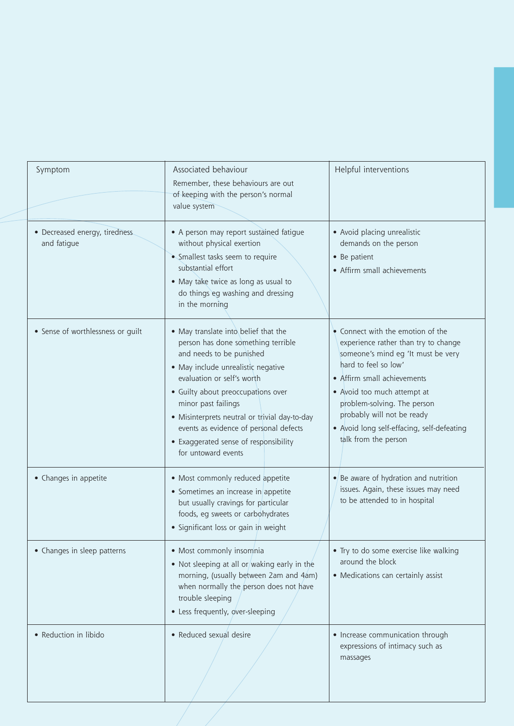| Symptom                                       | Associated behaviour<br>Remember, these behaviours are out<br>of keeping with the person's normal<br>value system                                                                                                                                                                                                                                                                                  | Helpful interventions                                                                                                                                                                                                                                                                                                                    |
|-----------------------------------------------|----------------------------------------------------------------------------------------------------------------------------------------------------------------------------------------------------------------------------------------------------------------------------------------------------------------------------------------------------------------------------------------------------|------------------------------------------------------------------------------------------------------------------------------------------------------------------------------------------------------------------------------------------------------------------------------------------------------------------------------------------|
| • Decreased energy, tiredness.<br>and fatigue | • A person may report sustained fatigue<br>without physical exertion<br>• Smallest tasks seem to require<br>substantial effort<br>• May take twice as long as usual to<br>do things eg washing and dressing<br>in the morning                                                                                                                                                                      | • Avoid placing unrealistic<br>demands on the person<br>• Be patient<br>• Affirm small achievements                                                                                                                                                                                                                                      |
| • Sense of worthlessness or guilt             | • May translate into belief that the<br>person has done something terrible<br>and needs to be punished<br>• May include unrealistic negative<br>evaluation or self's worth<br>• Guilty about preoccupations over<br>minor past failings<br>• Misinterprets neutral or trivial day-to-day<br>events as evidence of personal defects<br>• Exaggerated sense of responsibility<br>for untoward events | • Connect with the emotion of the<br>experience rather than try to change<br>someone's mind eg 'It must be very<br>hard to feel so low'<br>• Affirm small achievements<br>• Avoid too much attempt at<br>problem-solving. The person<br>probably will not be ready<br>• Avoid long self-effacing, self-defeating<br>talk from the person |
| • Changes in appetite                         | • Most commonly reduced appetite<br>• Sometimes an increase in appetite<br>but usually cravings for particular<br>foods, eg sweets or carbohydrates<br>• Significant loss or gain in weight                                                                                                                                                                                                        | $\bullet$ Be aware of hydration and nutrition<br>issues. Again, these issues may need<br>to be attended to in hospital                                                                                                                                                                                                                   |
| • Changes in sleep patterns                   | • Most commonly insomnia<br>• Not sleeping at all or/waking early in the<br>morning, (usually between 2am and 4am)<br>when normally the person does not have<br>trouble sleeping<br>• Less frequently, over-sleeping                                                                                                                                                                               | • Try to do some exercise like walking<br>around the block<br>• Medications can certainly assist                                                                                                                                                                                                                                         |
| • Reduction in libido                         | • Reduced sexual desire                                                                                                                                                                                                                                                                                                                                                                            | • Increase communication through<br>expressions of intimacy such as<br>massages                                                                                                                                                                                                                                                          |